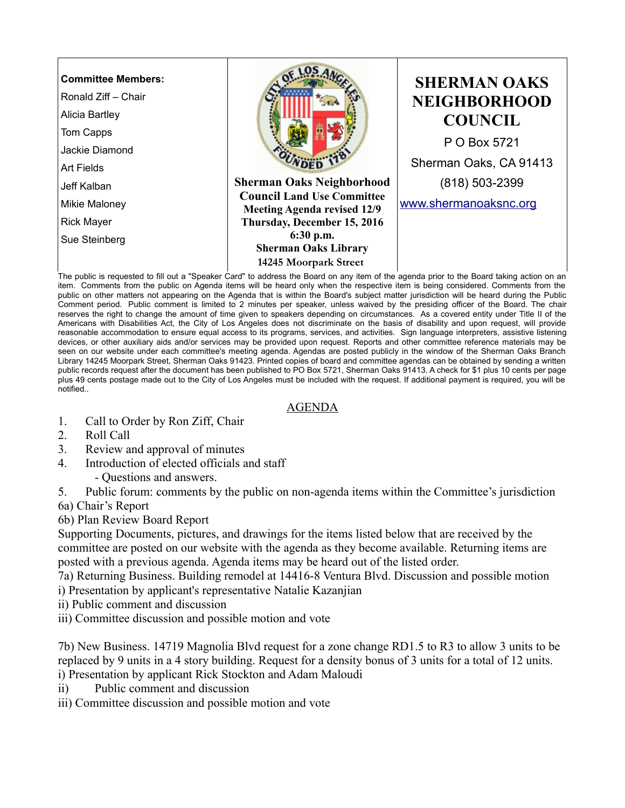

item. Comments from the public on Agenda items will be heard only when the respective item is being considered. Comments from the public on other matters not appearing on the Agenda that is within the Board's subject matter jurisdiction will be heard during the Public Comment period. Public comment is limited to 2 minutes per speaker, unless waived by the presiding officer of the Board. The chair reserves the right to change the amount of time given to speakers depending on circumstances. As a covered entity under Title II of the Americans with Disabilities Act, the City of Los Angeles does not discriminate on the basis of disability and upon request, will provide reasonable accommodation to ensure equal access to its programs, services, and activities. Sign language interpreters, assistive listening devices, or other auxiliary aids and/or services may be provided upon request. Reports and other committee reference materials may be seen on our website under each committee's meeting agenda. Agendas are posted publicly in the window of the Sherman Oaks Branch Library 14245 Moorpark Street, Sherman Oaks 91423. Printed copies of board and committee agendas can be obtained by sending a written public records request after the document has been published to PO Box 5721, Sherman Oaks 91413. A check for \$1 plus 10 cents per page plus 49 cents postage made out to the City of Los Angeles must be included with the request. If additional payment is required, you will be notified..

## AGENDA

- 1. Call to Order by Ron Ziff, Chair
- 2. Roll Call
- 3. Review and approval of minutes
- 4. Introduction of elected officials and staff
	- Questions and answers.
- 5. Public forum: comments by the public on non-agenda items within the Committee's jurisdiction
- 6a) Chair's Report

6b) Plan Review Board Report

Supporting Documents, pictures, and drawings for the items listed below that are received by the committee are posted on our website with the agenda as they become available. Returning items are posted with a previous agenda. Agenda items may be heard out of the listed order.

7a) Returning Business. Building remodel at 14416-8 Ventura Blvd. Discussion and possible motion i) Presentation by applicant's representative Natalie Kazanjian

- ii) Public comment and discussion
- iii) Committee discussion and possible motion and vote

7b) New Business. 14719 Magnolia Blvd request for a zone change RD1.5 to R3 to allow 3 units to be replaced by 9 units in a 4 story building. Request for a density bonus of 3 units for a total of 12 units. i) Presentation by applicant Rick Stockton and Adam Maloudi

- ii) Public comment and discussion
- iii) Committee discussion and possible motion and vote